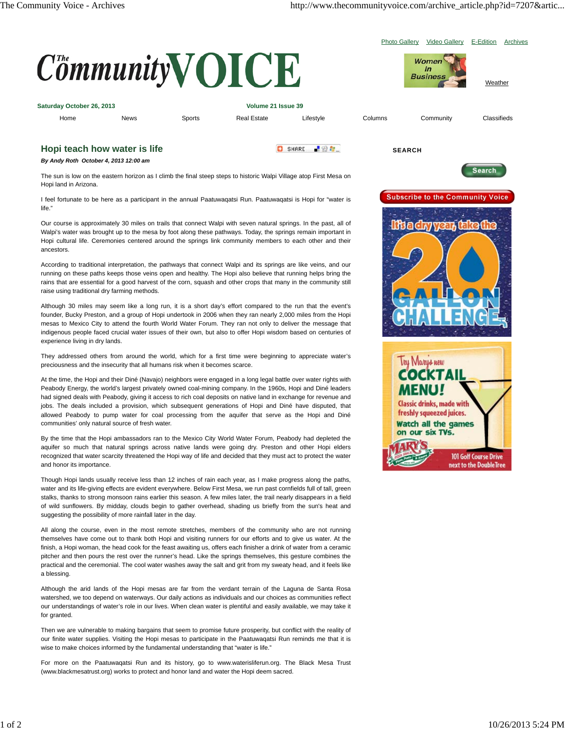Photo Gallery Video Gallery E-Edition Archives



The sun is low on the eastern horizon as I climb the final steep steps to historic Walpi Village atop First Mesa on Hopi land in Arizona.

I feel fortunate to be here as a participant in the annual Paatuwaqatsi Run. Paatuwaqatsi is Hopi for "water is life."

Our course is approximately 30 miles on trails that connect Walpi with seven natural springs. In the past, all of Walpi's water was brought up to the mesa by foot along these pathways. Today, the springs remain important in Hopi cultural life. Ceremonies centered around the springs link community members to each other and their ancestors.

According to traditional interpretation, the pathways that connect Walpi and its springs are like veins, and our running on these paths keeps those veins open and healthy. The Hopi also believe that running helps bring the rains that are essential for a good harvest of the corn, squash and other crops that many in the community still raise using traditional dry farming methods.

Although 30 miles may seem like a long run, it is a short day's effort compared to the run that the event's founder, Bucky Preston, and a group of Hopi undertook in 2006 when they ran nearly 2,000 miles from the Hopi mesas to Mexico City to attend the fourth World Water Forum. They ran not only to deliver the message that indigenous people faced crucial water issues of their own, but also to offer Hopi wisdom based on centuries of experience living in dry lands.

They addressed others from around the world, which for a first time were beginning to appreciate water's preciousness and the insecurity that all humans risk when it becomes scarce.

At the time, the Hopi and their Diné (Navajo) neighbors were engaged in a long legal battle over water rights with Peabody Energy, the world's largest privately owned coal-mining company. In the 1960s, Hopi and Diné leaders had signed deals with Peabody, giving it access to rich coal deposits on native land in exchange for revenue and jobs. The deals included a provision, which subsequent generations of Hopi and Diné have disputed, that allowed Peabody to pump water for coal processing from the aquifer that serve as the Hopi and Diné communities' only natural source of fresh water.

By the time that the Hopi ambassadors ran to the Mexico City World Water Forum, Peabody had depleted the aquifer so much that natural springs across native lands were going dry. Preston and other Hopi elders recognized that water scarcity threatened the Hopi way of life and decided that they must act to protect the water and honor its importance.

Though Hopi lands usually receive less than 12 inches of rain each year, as I make progress along the paths, water and its life-giving effects are evident everywhere. Below First Mesa, we run past cornfields full of tall, green stalks, thanks to strong monsoon rains earlier this season. A few miles later, the trail nearly disappears in a field of wild sunflowers. By midday, clouds begin to gather overhead, shading us briefly from the sun's heat and suggesting the possibility of more rainfall later in the day.

All along the course, even in the most remote stretches, members of the community who are not running themselves have come out to thank both Hopi and visiting runners for our efforts and to give us water. At the finish, a Hopi woman, the head cook for the feast awaiting us, offers each finisher a drink of water from a ceramic pitcher and then pours the rest over the runner's head. Like the springs themselves, this gesture combines the practical and the ceremonial. The cool water washes away the salt and grit from my sweaty head, and it feels like a blessing.

Although the arid lands of the Hopi mesas are far from the verdant terrain of the Laguna de Santa Rosa watershed, we too depend on waterways. Our daily actions as individuals and our choices as communities reflect our understandings of water's role in our lives. When clean water is plentiful and easily available, we may take it for granted.

Then we are vulnerable to making bargains that seem to promise future prosperity, but conflict with the reality of our finite water supplies. Visiting the Hopi mesas to participate in the Paatuwaqatsi Run reminds me that it is wise to make choices informed by the fundamental understanding that "water is life."

For more on the Paatuwaqatsi Run and its history, go to www.waterisliferun.org. The Black Mesa Trust (www.blackmesatrust.org) works to protect and honor land and water the Hopi deem sacred.